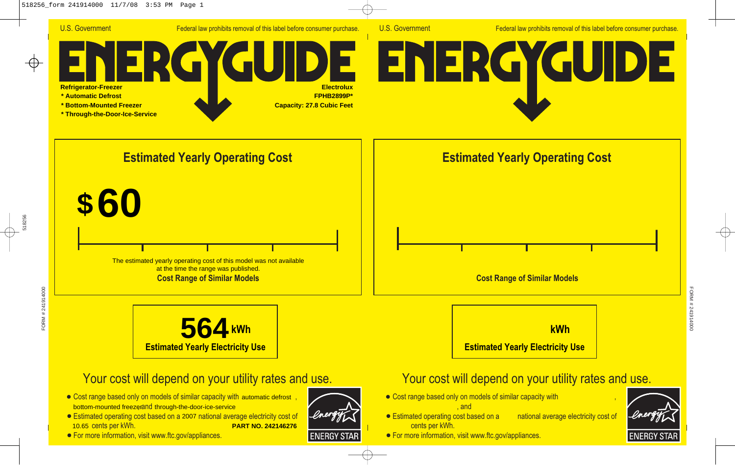

U.S. Government Federal law prohibits removal of this label before consumer purchase.

## GU **Refrigerator-Freezer Electrolux \* Automatic Defrost FPHB2899P\* \* Bottom-Mounted Freezer Capacity: 27.8 Cubic Feet \* Through-the-Door-Ice-Service**





## Your cost will depend on your utility rates and use.

- Cost range based only on models of similar capacity with automatic defrost, bottom-mounted freezerand through-the-door-ice-service
- Estimated operating cost based on a 2007 national average electricity cost of 10.65 cents per kWh. **PART NO. 242146276**
- **For more information, visit www.ftc.gov/appliances.**